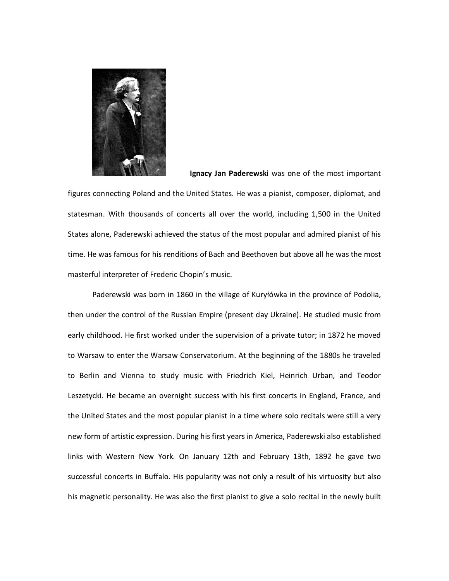

**Ignacy Jan Paderewski** was one of the most important

figures connecting Poland and the United States. He was a pianist, composer, diplomat, and statesman. With thousands of concerts all over the world, including 1,500 in the United States alone, Paderewski achieved the status of the most popular and admired pianist of his time. He was famous for his renditions of Bach and Beethoven but above all he was the most masterful interpreter of Frederic Chopin's music.

Paderewski was born in 1860 in the village of Kuryłówka in the province of Podolia, then under the control of the Russian Empire (present day Ukraine). He studied music from early childhood. He first worked under the supervision of a private tutor; in 1872 he moved to Warsaw to enter the Warsaw Conservatorium. At the beginning of the 1880s he traveled to Berlin and Vienna to study music with Friedrich Kiel, Heinrich Urban, and Teodor Leszetycki. He became an overnight success with his first concerts in England, France, and the United States and the most popular pianist in a time where solo recitals were still a very new form of artistic expression. During his first years in America, Paderewski also established links with Western New York. On January 12th and February 13th, 1892 he gave two successful concerts in Buffalo. His popularity was not only a result of his virtuosity but also his magnetic personality. He was also the first pianist to give a solo recital in the newly built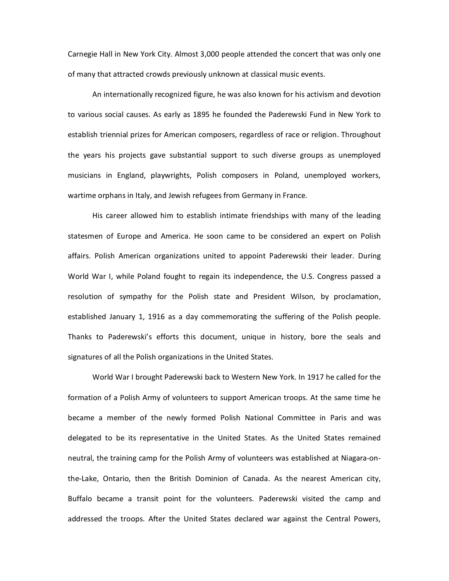Carnegie Hall in New York City. Almost 3,000 people attended the concert that was only one of many that attracted crowds previously unknown at classical music events.

An internationally recognized figure, he was also known for his activism and devotion to various social causes. As early as 1895 he founded the Paderewski Fund in New York to establish triennial prizes for American composers, regardless of race or religion. Throughout the years his projects gave substantial support to such diverse groups as unemployed musicians in England, playwrights, Polish composers in Poland, unemployed workers, wartime orphans in Italy, and Jewish refugees from Germany in France.

His career allowed him to establish intimate friendships with many of the leading statesmen of Europe and America. He soon came to be considered an expert on Polish affairs. Polish American organizations united to appoint Paderewski their leader. During World War I, while Poland fought to regain its independence, the U.S. Congress passed a resolution of sympathy for the Polish state and President Wilson, by proclamation, established January 1, 1916 as a day commemorating the suffering of the Polish people. Thanks to Paderewski's efforts this document, unique in history, bore the seals and signatures of all the Polish organizations in the United States.

World War I brought Paderewski back to Western New York. In 1917 he called for the formation of a Polish Army of volunteers to support American troops. At the same time he became a member of the newly formed Polish National Committee in Paris and was delegated to be its representative in the United States. As the United States remained neutral, the training camp for the Polish Army of volunteers was established at Niagara‐on‐ the‐Lake, Ontario, then the British Dominion of Canada. As the nearest American city, Buffalo became a transit point for the volunteers. Paderewski visited the camp and addressed the troops. After the United States declared war against the Central Powers,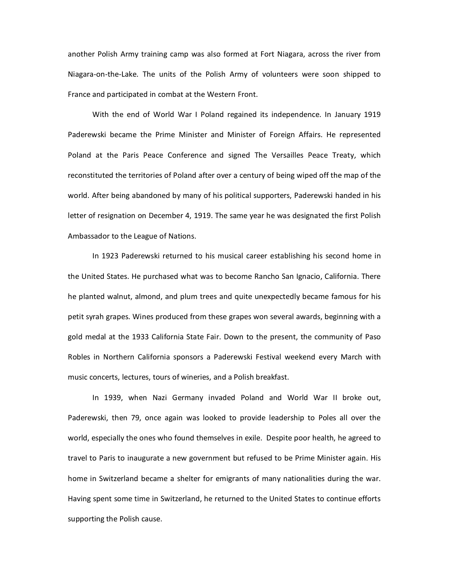another Polish Army training camp was also formed at Fort Niagara, across the river from Niagara-on-the-Lake. The units of the Polish Army of volunteers were soon shipped to France and participated in combat at the Western Front.

With the end of World War I Poland regained its independence. In January 1919 Paderewski became the Prime Minister and Minister of Foreign Affairs. He represented Poland at the Paris Peace Conference and signed The Versailles Peace Treaty, which reconstituted the territories of Poland after over a century of being wiped off the map of the world. After being abandoned by many of his political supporters, Paderewski handed in his letter of resignation on December 4, 1919. The same year he was designated the first Polish Ambassador to the League of Nations.

In 1923 Paderewski returned to his musical career establishing his second home in the United States. He purchased what was to become Rancho San Ignacio, California. There he planted walnut, almond, and plum trees and quite unexpectedly became famous for his petit syrah grapes. Wines produced from these grapes won several awards, beginning with a gold medal at the 1933 California State Fair. Down to the present, the community of Paso Robles in Northern California sponsors a Paderewski Festival weekend every March with music concerts, lectures, tours of wineries, and a Polish breakfast.

In 1939, when Nazi Germany invaded Poland and World War II broke out, Paderewski, then 79, once again was looked to provide leadership to Poles all over the world, especially the ones who found themselves in exile. Despite poor health, he agreed to travel to Paris to inaugurate a new government but refused to be Prime Minister again. His home in Switzerland became a shelter for emigrants of many nationalities during the war. Having spent some time in Switzerland, he returned to the United States to continue efforts supporting the Polish cause.